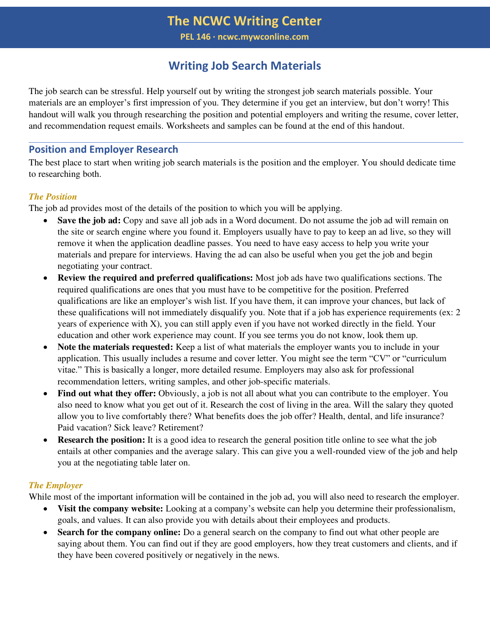### **Writing Job Search Materials**

The job search can be stressful. Help yourself out by writing the strongest job search materials possible. Your materials are an employer's first impression of you. They determine if you get an interview, but don't worry! This handout will walk you through researching the position and potential employers and writing the resume, cover letter, and recommendation request emails. Worksheets and samples can be found at the end of this handout.

### **Position and Employer Research**

The best place to start when writing job search materials is the position and the employer. You should dedicate time to researching both.

### *The Position*

The job ad provides most of the details of the position to which you will be applying.

- Save the job ad: Copy and save all job ads in a Word document. Do not assume the job ad will remain on the site or search engine where you found it. Employers usually have to pay to keep an ad live, so they will remove it when the application deadline passes. You need to have easy access to help you write your materials and prepare for interviews. Having the ad can also be useful when you get the job and begin negotiating your contract.
- **Review the required and preferred qualifications:** Most job ads have two qualifications sections. The required qualifications are ones that you must have to be competitive for the position. Preferred qualifications are like an employer's wish list. If you have them, it can improve your chances, but lack of these qualifications will not immediately disqualify you. Note that if a job has experience requirements (ex: 2 years of experience with X), you can still apply even if you have not worked directly in the field. Your education and other work experience may count. If you see terms you do not know, look them up.
- **Note the materials requested:** Keep a list of what materials the employer wants you to include in your application. This usually includes a resume and cover letter. You might see the term "CV" or "curriculum vitae." This is basically a longer, more detailed resume. Employers may also ask for professional recommendation letters, writing samples, and other job-specific materials.
- **Find out what they offer:** Obviously, a job is not all about what you can contribute to the employer. You also need to know what you get out of it. Research the cost of living in the area. Will the salary they quoted allow you to live comfortably there? What benefits does the job offer? Health, dental, and life insurance? Paid vacation? Sick leave? Retirement?
- **Research the position:** It is a good idea to research the general position title online to see what the job entails at other companies and the average salary. This can give you a well-rounded view of the job and help you at the negotiating table later on.

### *The Employer*

While most of the important information will be contained in the job ad, you will also need to research the employer.

- **Visit the company website:** Looking at a company's website can help you determine their professionalism, goals, and values. It can also provide you with details about their employees and products.
- **Search for the company online:** Do a general search on the company to find out what other people are saying about them. You can find out if they are good employers, how they treat customers and clients, and if they have been covered positively or negatively in the news.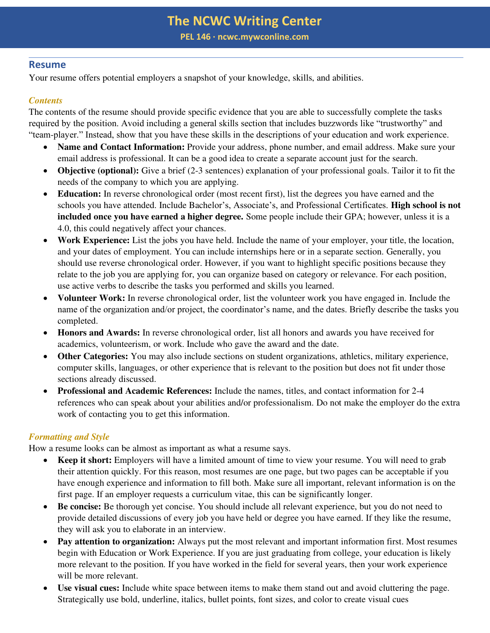**PEL 146 ∙ ncwc.mywconline.com** 

### **Resume**

Your resume offers potential employers a snapshot of your knowledge, skills, and abilities.

### *Contents*

The contents of the resume should provide specific evidence that you are able to successfully complete the tasks required by the position. Avoid including a general skills section that includes buzzwords like "trustworthy" and "team-player." Instead, show that you have these skills in the descriptions of your education and work experience.

- **Name and Contact Information:** Provide your address, phone number, and email address. Make sure your email address is professional. It can be a good idea to create a separate account just for the search.
- **Objective (optional):** Give a brief (2-3 sentences) explanation of your professional goals. Tailor it to fit the needs of the company to which you are applying.
- **Education:** In reverse chronological order (most recent first), list the degrees you have earned and the schools you have attended. Include Bachelor's, Associate's, and Professional Certificates. **High school is not included once you have earned a higher degree.** Some people include their GPA; however, unless it is a 4.0, this could negatively affect your chances.
- **Work Experience:** List the jobs you have held. Include the name of your employer, your title, the location, and your dates of employment. You can include internships here or in a separate section. Generally, you should use reverse chronological order. However, if you want to highlight specific positions because they relate to the job you are applying for, you can organize based on category or relevance. For each position, use active verbs to describe the tasks you performed and skills you learned.
- **Volunteer Work:** In reverse chronological order, list the volunteer work you have engaged in. Include the name of the organization and/or project, the coordinator's name, and the dates. Briefly describe the tasks you completed.
- **Honors and Awards:** In reverse chronological order, list all honors and awards you have received for academics, volunteerism, or work. Include who gave the award and the date.
- **Other Categories:** You may also include sections on student organizations, athletics, military experience, computer skills, languages, or other experience that is relevant to the position but does not fit under those sections already discussed.
- **Professional and Academic References:** Include the names, titles, and contact information for 2-4 references who can speak about your abilities and/or professionalism. Do not make the employer do the extra work of contacting you to get this information.

### *Formatting and Style*

How a resume looks can be almost as important as what a resume says.

- **Keep it short:** Employers will have a limited amount of time to view your resume. You will need to grab their attention quickly. For this reason, most resumes are one page, but two pages can be acceptable if you have enough experience and information to fill both. Make sure all important, relevant information is on the first page. If an employer requests a curriculum vitae, this can be significantly longer.
- **Be concise:** Be thorough yet concise. You should include all relevant experience, but you do not need to provide detailed discussions of every job you have held or degree you have earned. If they like the resume, they will ask you to elaborate in an interview.
- **Pay attention to organization:** Always put the most relevant and important information first. Most resumes begin with Education or Work Experience. If you are just graduating from college, your education is likely more relevant to the position. If you have worked in the field for several years, then your work experience will be more relevant.
- **Use visual cues:** Include white space between items to make them stand out and avoid cluttering the page. Strategically use bold, underline, italics, bullet points, font sizes, and color to create visual cues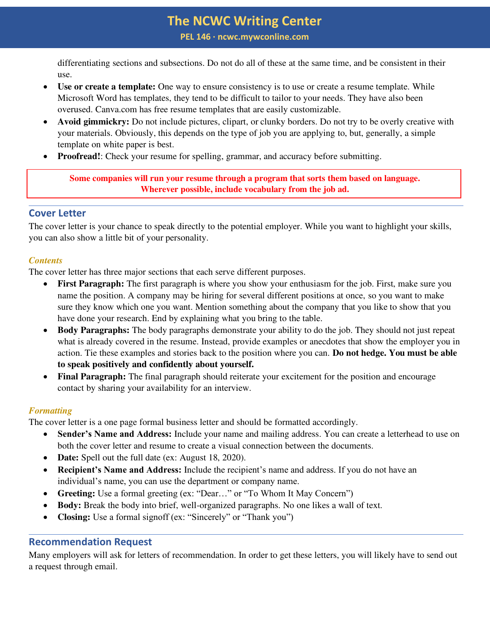**PEL 146 ∙ ncwc.mywconline.com** 

differentiating sections and subsections. Do not do all of these at the same time, and be consistent in their use.

- **Use or create a template:** One way to ensure consistency is to use or create a resume template. While Microsoft Word has templates, they tend to be difficult to tailor to your needs. They have also been overused. Canva.com has free resume templates that are easily customizable.
- **Avoid gimmickry:** Do not include pictures, clipart, or clunky borders. Do not try to be overly creative with your materials. Obviously, this depends on the type of job you are applying to, but, generally, a simple template on white paper is best.
- **Proofread!**: Check your resume for spelling, grammar, and accuracy before submitting.

**Some companies will run your resume through a program that sorts them based on language. Wherever possible, include vocabulary from the job ad.** 

### **Cover Letter**

The cover letter is your chance to speak directly to the potential employer. While you want to highlight your skills, you can also show a little bit of your personality.

### *Contents*

The cover letter has three major sections that each serve different purposes.

- **First Paragraph:** The first paragraph is where you show your enthusiasm for the job. First, make sure you name the position. A company may be hiring for several different positions at once, so you want to make sure they know which one you want. Mention something about the company that you like to show that you have done your research. End by explaining what you bring to the table.
- **Body Paragraphs:** The body paragraphs demonstrate your ability to do the job. They should not just repeat what is already covered in the resume. Instead, provide examples or anecdotes that show the employer you in action. Tie these examples and stories back to the position where you can. **Do not hedge. You must be able to speak positively and confidently about yourself.**
- **Final Paragraph:** The final paragraph should reiterate your excitement for the position and encourage contact by sharing your availability for an interview.

### *Formatting*

The cover letter is a one page formal business letter and should be formatted accordingly.

- **Sender's Name and Address:** Include your name and mailing address. You can create a letterhead to use on both the cover letter and resume to create a visual connection between the documents.
- **Date:** Spell out the full date (ex: August 18, 2020).
- **Recipient's Name and Address:** Include the recipient's name and address. If you do not have an individual's name, you can use the department or company name.
- **Greeting:** Use a formal greeting (ex: "Dear…" or "To Whom It May Concern")
- **Body:** Break the body into brief, well-organized paragraphs. No one likes a wall of text.
- **Closing:** Use a formal signoff (ex: "Sincerely" or "Thank you")

### **Recommendation Request**

Many employers will ask for letters of recommendation. In order to get these letters, you will likely have to send out a request through email.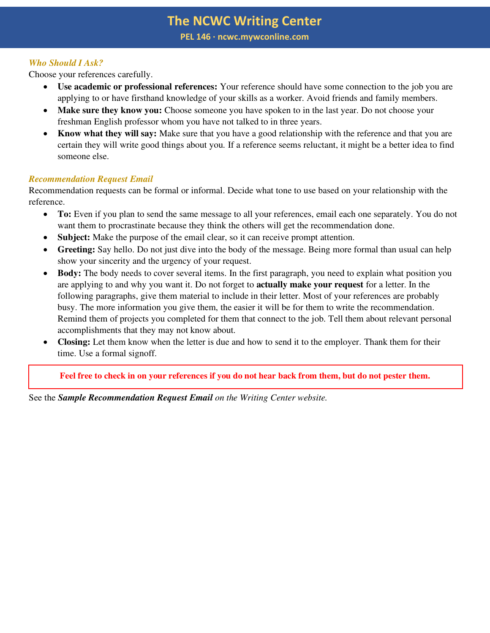### *Who Should I Ask?*

Choose your references carefully.

- **Use academic or professional references:** Your reference should have some connection to the job you are applying to or have firsthand knowledge of your skills as a worker. Avoid friends and family members.
- **Make sure they know you:** Choose someone you have spoken to in the last year. Do not choose your freshman English professor whom you have not talked to in three years.
- **Know what they will say:** Make sure that you have a good relationship with the reference and that you are certain they will write good things about you. If a reference seems reluctant, it might be a better idea to find someone else.

### *Recommendation Request Email*

Recommendation requests can be formal or informal. Decide what tone to use based on your relationship with the reference.

- **To:** Even if you plan to send the same message to all your references, email each one separately. You do not want them to procrastinate because they think the others will get the recommendation done.
- **Subject:** Make the purpose of the email clear, so it can receive prompt attention.
- **Greeting:** Say hello. Do not just dive into the body of the message. Being more formal than usual can help show your sincerity and the urgency of your request.
- **Body:** The body needs to cover several items. In the first paragraph, you need to explain what position you are applying to and why you want it. Do not forget to **actually make your request** for a letter. In the following paragraphs, give them material to include in their letter. Most of your references are probably busy. The more information you give them, the easier it will be for them to write the recommendation. Remind them of projects you completed for them that connect to the job. Tell them about relevant personal accomplishments that they may not know about.
- **Closing:** Let them know when the letter is due and how to send it to the employer. Thank them for their time. Use a formal signoff.

**Feel free to check in on your references if you do not hear back from them, but do not pester them.** 

See the *Sample Recommendation Request Email on the Writing Center website.*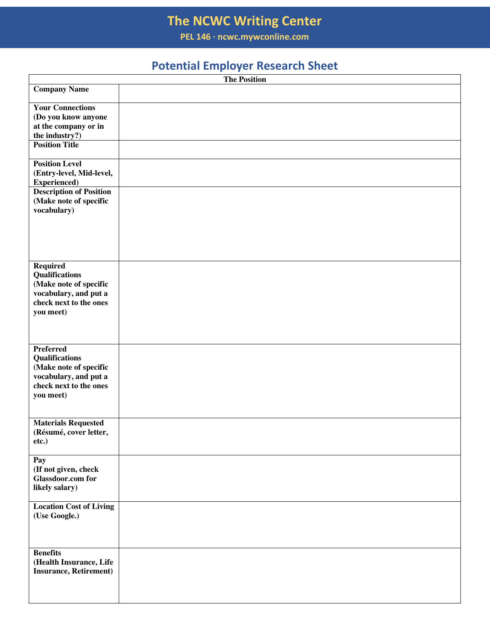**PEL 146 ∙ ncwc.mywconline.com** 

## **Potential Employer Research Sheet**

|                                                  | The Position |
|--------------------------------------------------|--------------|
| <b>Company Name</b>                              |              |
| <b>Your Connections</b>                          |              |
| (Do you know anyone<br>at the company or in      |              |
| the industry?)                                   |              |
| <b>Position Title</b>                            |              |
| <b>Position Level</b>                            |              |
| (Entry-level, Mid-level,<br><b>Experienced</b> ) |              |
| <b>Description of Position</b>                   |              |
| (Make note of specific                           |              |
| vocabulary)                                      |              |
|                                                  |              |
|                                                  |              |
|                                                  |              |
| <b>Required</b>                                  |              |
| Qualifications                                   |              |
| (Make note of specific<br>vocabulary, and put a  |              |
| check next to the ones                           |              |
| you meet)                                        |              |
|                                                  |              |
|                                                  |              |
| <b>Preferred</b>                                 |              |
| Qualifications<br>(Make note of specific         |              |
| vocabulary, and put a                            |              |
| check next to the ones                           |              |
| you meet)                                        |              |
|                                                  |              |
| <b>Materials Requested</b>                       |              |
| (Résumé, cover letter,                           |              |
| etc.)                                            |              |
| Pay                                              |              |
| (If not given, check<br><b>Glassdoor.com for</b> |              |
| likely salary)                                   |              |
|                                                  |              |
| <b>Location Cost of Living</b>                   |              |
| (Use Google.)                                    |              |
|                                                  |              |
|                                                  |              |
| <b>Benefits</b><br>(Health Insurance, Life       |              |
| <b>Insurance, Retirement)</b>                    |              |
|                                                  |              |
|                                                  |              |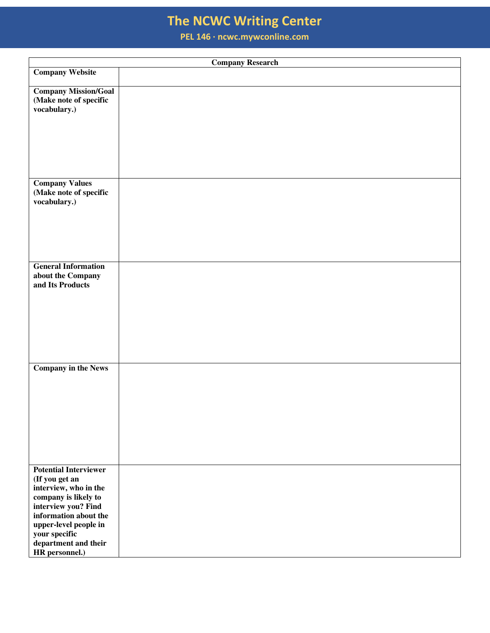**PEL 146 ∙ ncwc.mywconline.com** 

|                                                                                                                                                                                                                                     | <b>Company Research</b> |
|-------------------------------------------------------------------------------------------------------------------------------------------------------------------------------------------------------------------------------------|-------------------------|
| <b>Company Website</b>                                                                                                                                                                                                              |                         |
| <b>Company Mission/Goal</b><br>(Make note of specific<br>vocabulary.)                                                                                                                                                               |                         |
| <b>Company Values</b><br>(Make note of specific<br>vocabulary.)                                                                                                                                                                     |                         |
| <b>General Information</b><br>about the Company<br>and Its Products                                                                                                                                                                 |                         |
| <b>Company in the News</b>                                                                                                                                                                                                          |                         |
| <b>Potential Interviewer</b><br>(If you get an<br>interview, who in the<br>company is likely to<br>interview you? Find<br>information about the<br>upper-level people in<br>your specific<br>department and their<br>HR personnel.) |                         |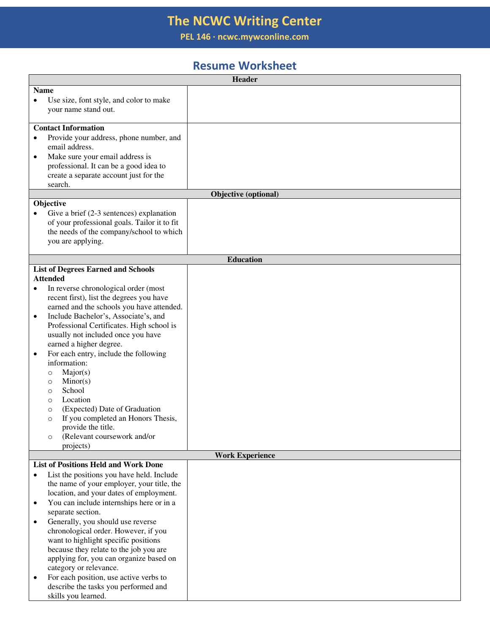**PEL 146 ∙ ncwc.mywconline.com** 

### **Resume Worksheet**

| <b>Name</b><br>Use size, font style, and color to make<br>$\bullet$<br>your name stand out.<br><b>Contact Information</b><br>Provide your address, phone number, and<br>$\bullet$<br>email address.<br>Make sure your email address is<br>$\bullet$<br>professional. It can be a good idea to |  |
|-----------------------------------------------------------------------------------------------------------------------------------------------------------------------------------------------------------------------------------------------------------------------------------------------|--|
|                                                                                                                                                                                                                                                                                               |  |
|                                                                                                                                                                                                                                                                                               |  |
|                                                                                                                                                                                                                                                                                               |  |
|                                                                                                                                                                                                                                                                                               |  |
|                                                                                                                                                                                                                                                                                               |  |
|                                                                                                                                                                                                                                                                                               |  |
|                                                                                                                                                                                                                                                                                               |  |
|                                                                                                                                                                                                                                                                                               |  |
|                                                                                                                                                                                                                                                                                               |  |
| create a separate account just for the                                                                                                                                                                                                                                                        |  |
| search.                                                                                                                                                                                                                                                                                       |  |
| Objective (optional)<br>Objective                                                                                                                                                                                                                                                             |  |
|                                                                                                                                                                                                                                                                                               |  |
| Give a brief $(2-3$ sentences) explanation<br>$\bullet$<br>of your professional goals. Tailor it to fit                                                                                                                                                                                       |  |
| the needs of the company/school to which                                                                                                                                                                                                                                                      |  |
| you are applying.                                                                                                                                                                                                                                                                             |  |
|                                                                                                                                                                                                                                                                                               |  |
| <b>Education</b>                                                                                                                                                                                                                                                                              |  |
| <b>List of Degrees Earned and Schools</b>                                                                                                                                                                                                                                                     |  |
| <b>Attended</b>                                                                                                                                                                                                                                                                               |  |
| In reverse chronological order (most<br>$\bullet$                                                                                                                                                                                                                                             |  |
| recent first), list the degrees you have                                                                                                                                                                                                                                                      |  |
| earned and the schools you have attended.                                                                                                                                                                                                                                                     |  |
| Include Bachelor's, Associate's, and<br>$\bullet$                                                                                                                                                                                                                                             |  |
| Professional Certificates. High school is                                                                                                                                                                                                                                                     |  |
| usually not included once you have                                                                                                                                                                                                                                                            |  |
| earned a higher degree.                                                                                                                                                                                                                                                                       |  |
| For each entry, include the following<br>٠                                                                                                                                                                                                                                                    |  |
| information:                                                                                                                                                                                                                                                                                  |  |
| Major(s)<br>$\circ$                                                                                                                                                                                                                                                                           |  |
| Minor(s)<br>$\circ$                                                                                                                                                                                                                                                                           |  |
| School<br>$\circ$                                                                                                                                                                                                                                                                             |  |
| Location<br>$\circ$<br>(Expected) Date of Graduation                                                                                                                                                                                                                                          |  |
| $\circ$<br>If you completed an Honors Thesis,<br>$\circ$                                                                                                                                                                                                                                      |  |
| provide the title.                                                                                                                                                                                                                                                                            |  |
| (Relevant coursework and/or<br>$\circ$                                                                                                                                                                                                                                                        |  |
| projects)                                                                                                                                                                                                                                                                                     |  |
| <b>Work Experience</b>                                                                                                                                                                                                                                                                        |  |
| <b>List of Positions Held and Work Done</b>                                                                                                                                                                                                                                                   |  |
| List the positions you have held. Include                                                                                                                                                                                                                                                     |  |
| the name of your employer, your title, the                                                                                                                                                                                                                                                    |  |
| location, and your dates of employment.                                                                                                                                                                                                                                                       |  |
| You can include internships here or in a<br>$\bullet$                                                                                                                                                                                                                                         |  |
| separate section.                                                                                                                                                                                                                                                                             |  |
| Generally, you should use reverse<br>$\bullet$                                                                                                                                                                                                                                                |  |
| chronological order. However, if you                                                                                                                                                                                                                                                          |  |
| want to highlight specific positions                                                                                                                                                                                                                                                          |  |
| because they relate to the job you are                                                                                                                                                                                                                                                        |  |
| applying for, you can organize based on                                                                                                                                                                                                                                                       |  |
| category or relevance.                                                                                                                                                                                                                                                                        |  |
| For each position, use active verbs to<br>$\bullet$                                                                                                                                                                                                                                           |  |
| describe the tasks you performed and<br>skills you learned.                                                                                                                                                                                                                                   |  |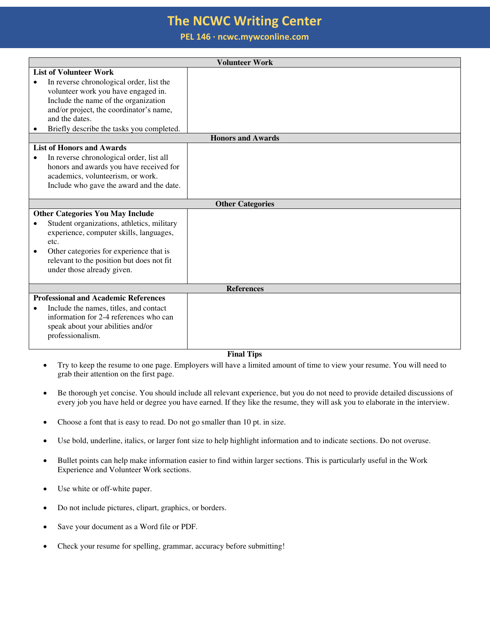**PEL 146 ∙ ncwc.mywconline.com** 

|                         |                                             | <b>Volunteer Work</b> |  |  |  |
|-------------------------|---------------------------------------------|-----------------------|--|--|--|
|                         | <b>List of Volunteer Work</b>               |                       |  |  |  |
|                         | In reverse chronological order, list the    |                       |  |  |  |
|                         | volunteer work you have engaged in.         |                       |  |  |  |
|                         | Include the name of the organization        |                       |  |  |  |
|                         | and/or project, the coordinator's name,     |                       |  |  |  |
|                         | and the dates.                              |                       |  |  |  |
|                         | Briefly describe the tasks you completed.   |                       |  |  |  |
|                         | <b>Honors and Awards</b>                    |                       |  |  |  |
|                         | <b>List of Honors and Awards</b>            |                       |  |  |  |
| $\bullet$               | In reverse chronological order, list all    |                       |  |  |  |
|                         | honors and awards you have received for     |                       |  |  |  |
|                         | academics, volunteerism, or work.           |                       |  |  |  |
|                         | Include who gave the award and the date.    |                       |  |  |  |
|                         |                                             |                       |  |  |  |
| <b>Other Categories</b> |                                             |                       |  |  |  |
|                         | <b>Other Categories You May Include</b>     |                       |  |  |  |
| $\bullet$               | Student organizations, athletics, military  |                       |  |  |  |
|                         | experience, computer skills, languages,     |                       |  |  |  |
|                         | etc.                                        |                       |  |  |  |
|                         | Other categories for experience that is     |                       |  |  |  |
|                         | relevant to the position but does not fit   |                       |  |  |  |
|                         | under those already given.                  |                       |  |  |  |
|                         |                                             |                       |  |  |  |
| <b>References</b>       |                                             |                       |  |  |  |
|                         | <b>Professional and Academic References</b> |                       |  |  |  |
| ٠                       | Include the names, titles, and contact      |                       |  |  |  |
|                         | information for 2-4 references who can      |                       |  |  |  |
|                         | speak about your abilities and/or           |                       |  |  |  |
|                         | professionalism.                            |                       |  |  |  |
|                         |                                             |                       |  |  |  |

#### **Final Tips**

- Try to keep the resume to one page. Employers will have a limited amount of time to view your resume. You will need to grab their attention on the first page.
- Be thorough yet concise. You should include all relevant experience, but you do not need to provide detailed discussions of every job you have held or degree you have earned. If they like the resume, they will ask you to elaborate in the interview.
- Choose a font that is easy to read. Do not go smaller than 10 pt. in size.
- Use bold, underline, italics, or larger font size to help highlight information and to indicate sections. Do not overuse.
- Bullet points can help make information easier to find within larger sections. This is particularly useful in the Work Experience and Volunteer Work sections.
- Use white or off-white paper.
- Do not include pictures, clipart, graphics, or borders.
- Save your document as a Word file or PDF.
- Check your resume for spelling, grammar, accuracy before submitting!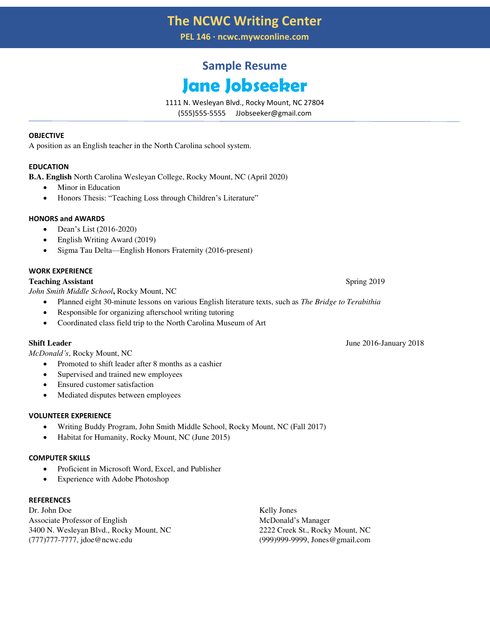**PEL 146 ∙ ncwc.mywconline.com** 

# **Sample Resume Jane Jobseeker**

1111 N. Wesleyan Blvd., Rocky Mount, NC 27804

(555)555-5555 JJobseeker@gmail.com

#### **OBJECTIVE**

A position as an English teacher in the North Carolina school system.

#### **EDUCATION**

**B.A. English** North Carolina Wesleyan College, Rocky Mount, NC (April 2020)

- Minor in Education
- Honors Thesis: "Teaching Loss through Children's Literature"

#### **HONORS and AWARDS**

- Dean's List (2016-2020)
- English Writing Award (2019)
- Sigma Tau Delta—English Honors Fraternity (2016-present)

#### **WORK EXPERIENCE**

#### **Teaching Assistant** Spring 2019

*John Smith Middle School***,** Rocky Mount, NC

- Planned eight 30-minute lessons on various English literature texts, such as *The Bridge to Terabithia*
- Responsible for organizing afterschool writing tutoring
- Coordinated class field trip to the North Carolina Museum of Art

*McDonald's*, Rocky Mount, NC

- Promoted to shift leader after 8 months as a cashier
- Supervised and trained new employees
- Ensured customer satisfaction
- Mediated disputes between employees

#### **VOLUNTEER EXPERIENCE**

- Writing Buddy Program, John Smith Middle School, Rocky Mount, NC (Fall 2017)
- Habitat for Humanity, Rocky Mount, NC (June 2015)

#### **COMPUTER SKILLS**

- Proficient in Microsoft Word, Excel, and Publisher
- Experience with Adobe Photoshop

#### **REFERENCES**

Dr. John Doe Associate Professor of English 3400 N. Wesleyan Blvd., Rocky Mount, NC (777)777-7777, jdoe@ncwc.edu

Kelly Jones McDonald's Manager 2222 Creek St., Rocky Mount, NC (999)999-9999, Jones@gmail.com

**Shift Leader** June 2016-January 2018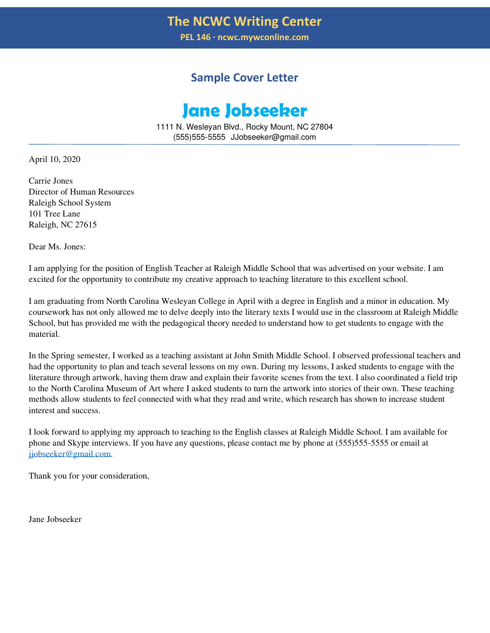**PEL 146 ∙ ncwc.mywconline.com** 

### **Sample Cover Letter**

# **Jane Jobseeker**

1111 N. Wesleyan Blvd., Rocky Mount, NC 27804 (555)555-5555 JJobseeker@gmail.com

April 10, 2020

Carrie Jones Director of Human Resources Raleigh School System 101 Tree Lane Raleigh, NC 27615

Dear Ms. Jones:

I am applying for the position of English Teacher at Raleigh Middle School that was advertised on your website. I am excited for the opportunity to contribute my creative approach to teaching literature to this excellent school.

I am graduating from North Carolina Wesleyan College in April with a degree in English and a minor in education. My coursework has not only allowed me to delve deeply into the literary texts I would use in the classroom at Raleigh Middle School, but has provided me with the pedagogical theory needed to understand how to get students to engage with the material.

In the Spring semester, I worked as a teaching assistant at John Smith Middle School. I observed professional teachers and had the opportunity to plan and teach several lessons on my own. During my lessons, I asked students to engage with the literature through artwork, having them draw and explain their favorite scenes from the text. I also coordinated a field trip to the North Carolina Museum of Art where I asked students to turn the artwork into stories of their own. These teaching methods allow students to feel connected with what they read and write, which research has shown to increase student interest and success.

I look forward to applying my approach to teaching to the English classes at Raleigh Middle School. I am available for phone and Skype interviews. If you have any questions, please contact me by phone at (555)555-5555 or email at [jjobseeker@gmail.com.](mailto:jjobseeker@gmail.com)

Thank you for your consideration,

Jane Jobseeker